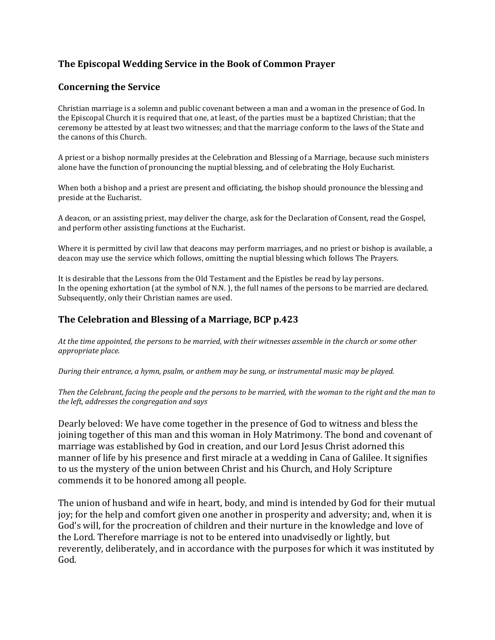# **The Episcopal Wedding Service in the Book of Common Prayer**

### **Concerning the Service**

Christian marriage is a solemn and public covenant between a man and a woman in the presence of God. In the Episcopal Church it is required that one, at least, of the parties must be a baptized Christian; that the ceremony be attested by at least two witnesses; and that the marriage conform to the laws of the State and the canons of this Church.

A priest or a bishop normally presides at the Celebration and Blessing of a Marriage, because such ministers alone have the function of pronouncing the nuptial blessing, and of celebrating the Holy Eucharist.

When both a bishop and a priest are present and officiating, the bishop should pronounce the blessing and preside at the Eucharist.

A deacon, or an assisting priest, may deliver the charge, ask for the Declaration of Consent, read the Gospel, and perform other assisting functions at the Eucharist.

Where it is permitted by civil law that deacons may perform marriages, and no priest or bishop is available, a deacon may use the service which follows, omitting the nuptial blessing which follows The Prayers.

It is desirable that the Lessons from the Old Testament and the Epistles be read by lay persons. In the opening exhortation (at the symbol of N.N. ), the full names of the persons to be married are declared. Subsequently, only their Christian names are used.

### **The Celebration and Blessing of a Marriage, BCP p.423**

*At the time appointed, the persons to be married, with their witnesses assemble in the church or some other appropriate place.* 

*During their entrance, a hymn, psalm, or anthem may be sung, or instrumental music may be played.* 

*Then the Celebrant, facing the people and the persons to be married, with the woman to the right and the man to the left, addresses the congregation and says* 

Dearly beloved: We have come together in the presence of God to witness and bless the joining together of this man and this woman in Holy Matrimony. The bond and covenant of marriage was established by God in creation, and our Lord Jesus Christ adorned this manner of life by his presence and first miracle at a wedding in Cana of Galilee. It signifies to us the mystery of the union between Christ and his Church, and Holy Scripture commends it to be honored among all people.

The union of husband and wife in heart, body, and mind is intended by God for their mutual joy; for the help and comfort given one another in prosperity and adversity; and, when it is God's will, for the procreation of children and their nurture in the knowledge and love of the Lord. Therefore marriage is not to be entered into unadvisedly or lightly, but reverently, deliberately, and in accordance with the purposes for which it was instituted by God.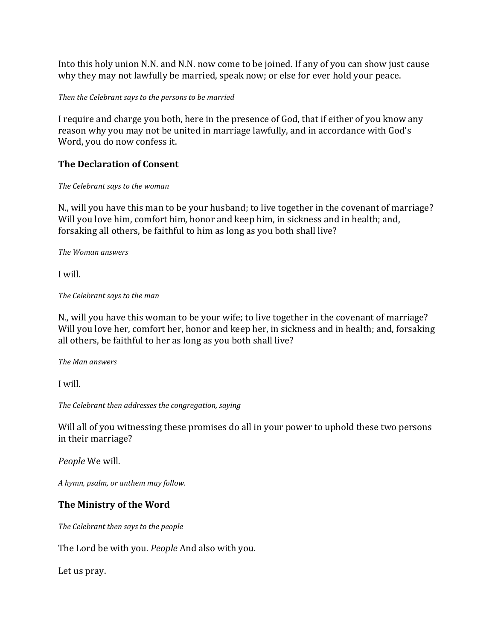Into this holy union N.N. and N.N. now come to be joined. If any of you can show just cause why they may not lawfully be married, speak now; or else for ever hold your peace.

*Then the Celebrant says to the persons to be married* 

I require and charge you both, here in the presence of God, that if either of you know any reason why you may not be united in marriage lawfully, and in accordance with God's Word, you do now confess it.

# **The Declaration of Consent**

*The Celebrant says to the woman* 

N., will you have this man to be your husband; to live together in the covenant of marriage? Will you love him, comfort him, honor and keep him, in sickness and in health; and, forsaking all others, be faithful to him as long as you both shall live?

*The Woman answers* 

I will.

*The Celebrant says to the man* 

N., will you have this woman to be your wife; to live together in the covenant of marriage? Will you love her, comfort her, honor and keep her, in sickness and in health; and, forsaking all others, be faithful to her as long as you both shall live?

*The Man answers* 

I will.

*The Celebrant then addresses the congregation, saying* 

Will all of you witnessing these promises do all in your power to uphold these two persons in their marriage?

*People* We will.

*A hymn, psalm, or anthem may follow.* 

# **The Ministry of the Word**

*The Celebrant then says to the people* 

The Lord be with you. *People* And also with you.

Let us pray.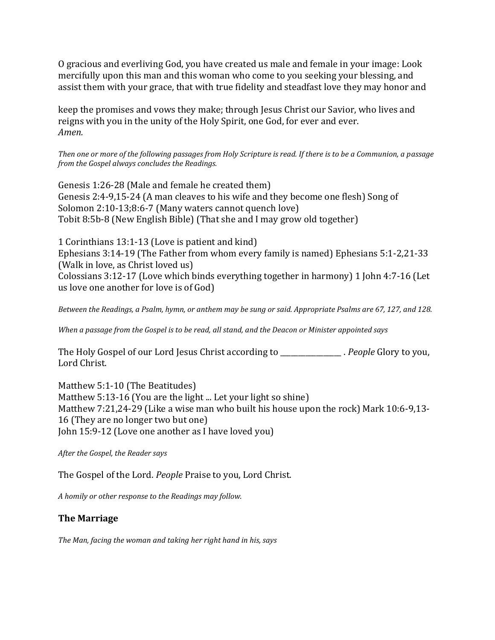O gracious and everliving God, you have created us male and female in your image: Look mercifully upon this man and this woman who come to you seeking your blessing, and assist them with your grace, that with true fidelity and steadfast love they may honor and

keep the promises and vows they make; through Jesus Christ our Savior, who lives and reigns with you in the unity of the Holy Spirit, one God, for ever and ever. *Amen.* 

*Then one or more of the following passages from Holy Scripture is read. If there is to be a Communion, a passage from the Gospel always concludes the Readings.* 

Genesis 1:26-28 (Male and female he created them) Genesis 2:4-9,15-24 (A man cleaves to his wife and they become one flesh) Song of Solomon 2:10-13;8:6-7 (Many waters cannot quench love) Tobit 8:5b-8 (New English Bible) (That she and I may grow old together)

1 Corinthians 13:1-13 (Love is patient and kind) Ephesians 3:14-19 (The Father from whom every family is named) Ephesians 5:1-2,21-33 (Walk in love, as Christ loved us) Colossians 3:12-17 (Love which binds everything together in harmony) 1 John 4:7-16 (Let us love one another for love is of God)

*Between the Readings, a Psalm, hymn, or anthem may be sung or said. Appropriate Psalms are 67, 127, and 128.* 

*When a passage from the Gospel is to be read, all stand, and the Deacon or Minister appointed says* 

The Holy Gospel of our Lord Jesus Christ according to \_\_\_\_\_\_\_\_\_\_\_\_\_\_\_\_\_ . *People* Glory to you, Lord Christ.

Matthew 5:1-10 (The Beatitudes) Matthew 5:13-16 (You are the light ... Let your light so shine) Matthew 7:21,24-29 (Like a wise man who built his house upon the rock) Mark 10:6-9,13- 16 (They are no longer two but one) John 15:9-12 (Love one another as I have loved you)

*After the Gospel, the Reader says* 

The Gospel of the Lord. *People* Praise to you, Lord Christ.

*A homily or other response to the Readings may follow.* 

### **The Marriage**

*The Man, facing the woman and taking her right hand in his, says*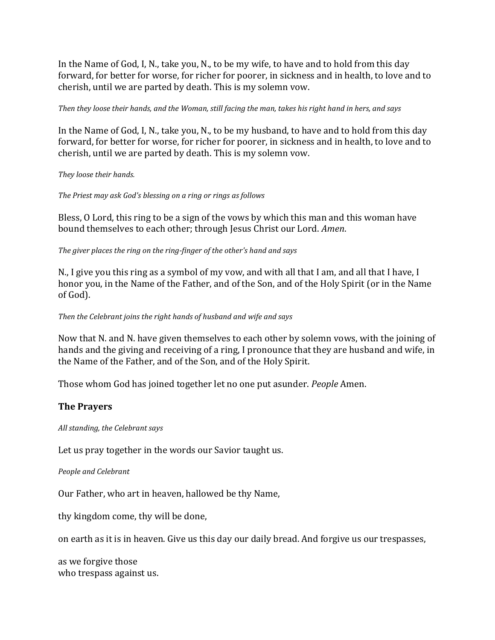In the Name of God, I, N., take you, N., to be my wife, to have and to hold from this day forward, for better for worse, for richer for poorer, in sickness and in health, to love and to cherish, until we are parted by death. This is my solemn vow.

*Then they loose their hands, and the Woman, still facing the man, takes his right hand in hers, and says* 

In the Name of God, I, N., take you, N., to be my husband, to have and to hold from this day forward, for better for worse, for richer for poorer, in sickness and in health, to love and to cherish, until we are parted by death. This is my solemn vow.

*They loose their hands.* 

*The Priest may ask God's blessing on a ring or rings as follows* 

Bless, O Lord, this ring to be a sign of the vows by which this man and this woman have bound themselves to each other; through Jesus Christ our Lord. *Amen*.

*The giver places the ring on the ring-finger of the other's hand and says* 

N., I give you this ring as a symbol of my vow, and with all that I am, and all that I have, I honor you, in the Name of the Father, and of the Son, and of the Holy Spirit (or in the Name of God).

#### *Then the Celebrant joins the right hands of husband and wife and says*

Now that N. and N. have given themselves to each other by solemn vows, with the joining of hands and the giving and receiving of a ring, I pronounce that they are husband and wife, in the Name of the Father, and of the Son, and of the Holy Spirit.

Those whom God has joined together let no one put asunder. *People* Amen.

### **The Prayers**

*All standing, the Celebrant says* 

Let us pray together in the words our Savior taught us.

*People and Celebrant* 

Our Father, who art in heaven, hallowed be thy Name,

thy kingdom come, thy will be done,

on earth as it is in heaven. Give us this day our daily bread. And forgive us our trespasses,

as we forgive those who trespass against us.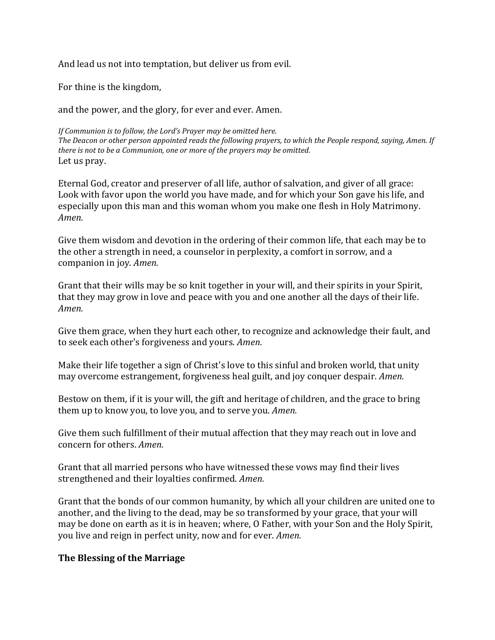And lead us not into temptation, but deliver us from evil.

For thine is the kingdom,

and the power, and the glory, for ever and ever. Amen.

*If Communion is to follow, the Lord's Prayer may be omitted here. The Deacon or other person appointed reads the following prayers, to which the People respond, saying, Amen. If there is not to be a Communion, one or more of the prayers may be omitted.* Let us pray.

Eternal God, creator and preserver of all life, author of salvation, and giver of all grace: Look with favor upon the world you have made, and for which your Son gave his life, and especially upon this man and this woman whom you make one flesh in Holy Matrimony. *Amen.* 

Give them wisdom and devotion in the ordering of their common life, that each may be to the other a strength in need, a counselor in perplexity, a comfort in sorrow, and a companion in joy*. Amen.* 

Grant that their wills may be so knit together in your will, and their spirits in your Spirit, that they may grow in love and peace with you and one another all the days of their life. *Amen.* 

Give them grace, when they hurt each other, to recognize and acknowledge their fault, and to seek each other's forgiveness and yours*. Amen.* 

Make their life together a sign of Christ's love to this sinful and broken world, that unity may overcome estrangement, forgiveness heal guilt, and joy conquer despair. *Amen.* 

Bestow on them, if it is your will, the gift and heritage of children, and the grace to bring them up to know you, to love you, and to serve you. *Amen.* 

Give them such fulfillment of their mutual affection that they may reach out in love and concern for others. *Amen.* 

Grant that all married persons who have witnessed these vows may find their lives strengthened and their loyalties confirmed. *Amen.* 

Grant that the bonds of our common humanity, by which all your children are united one to another, and the living to the dead, may be so transformed by your grace, that your will may be done on earth as it is in heaven; where, O Father, with your Son and the Holy Spirit, you live and reign in perfect unity, now and for ever. *Amen.* 

### **The Blessing of the Marriage**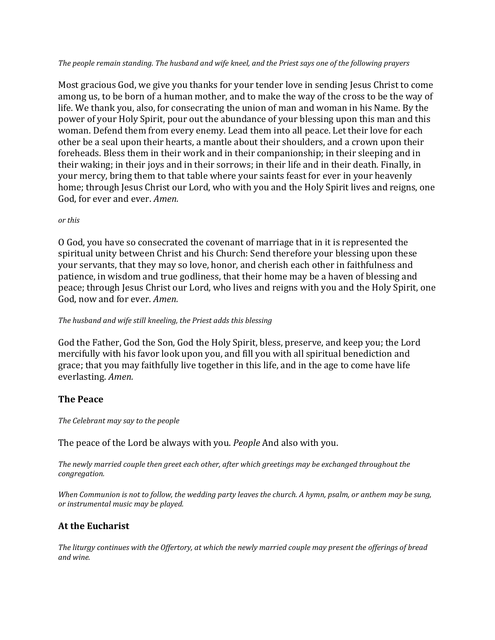#### *The people remain standing. The husband and wife kneel, and the Priest says one of the following prayers*

Most gracious God, we give you thanks for your tender love in sending Jesus Christ to come among us, to be born of a human mother, and to make the way of the cross to be the way of life. We thank you, also, for consecrating the union of man and woman in his Name. By the power of your Holy Spirit, pour out the abundance of your blessing upon this man and this woman. Defend them from every enemy. Lead them into all peace. Let their love for each other be a seal upon their hearts, a mantle about their shoulders, and a crown upon their foreheads. Bless them in their work and in their companionship; in their sleeping and in their waking; in their joys and in their sorrows; in their life and in their death. Finally, in your mercy, bring them to that table where your saints feast for ever in your heavenly home; through Jesus Christ our Lord, who with you and the Holy Spirit lives and reigns, one God, for ever and ever. *Amen.* 

#### *or this*

O God, you have so consecrated the covenant of marriage that in it is represented the spiritual unity between Christ and his Church: Send therefore your blessing upon these your servants, that they may so love, honor, and cherish each other in faithfulness and patience, in wisdom and true godliness, that their home may be a haven of blessing and peace; through Jesus Christ our Lord, who lives and reigns with you and the Holy Spirit, one God, now and for ever. *Amen.* 

#### *The husband and wife still kneeling, the Priest adds this blessing*

God the Father, God the Son, God the Holy Spirit, bless, preserve, and keep you; the Lord mercifully with his favor look upon you, and fill you with all spiritual benediction and grace; that you may faithfully live together in this life, and in the age to come have life everlasting. *Amen.* 

### **The Peace**

*The Celebrant may say to the people* 

The peace of the Lord be always with you. *People* And also with you.

*The newly married couple then greet each other, after which greetings may be exchanged throughout the congregation.* 

*When Communion is not to follow, the wedding party leaves the church. A hymn, psalm, or anthem may be sung, or instrumental music may be played.* 

### **At the Eucharist**

*The liturgy continues with the Offertory, at which the newly married couple may present the offerings of bread and wine.*